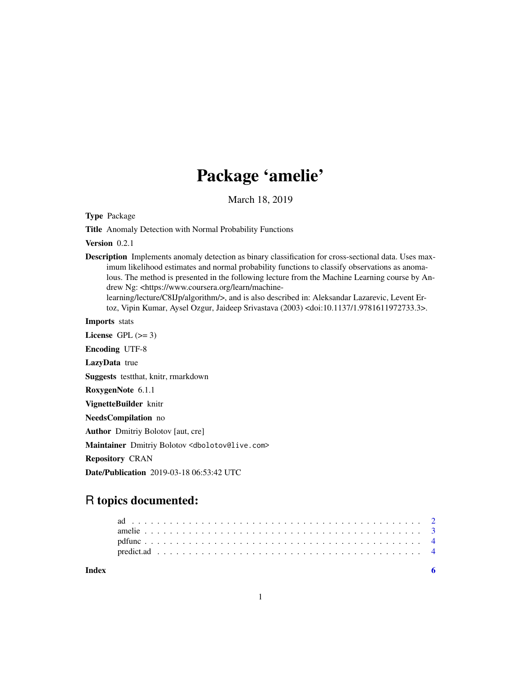## Package 'amelie'

March 18, 2019

Type Package

Title Anomaly Detection with Normal Probability Functions

Version 0.2.1

Description Implements anomaly detection as binary classification for cross-sectional data. Uses maximum likelihood estimates and normal probability functions to classify observations as anomalous. The method is presented in the following lecture from the Machine Learning course by Andrew Ng: <https://www.coursera.org/learn/machinelearning/lecture/C8IJp/algorithm/>, and is also described in: Aleksandar Lazarevic, Levent Er-

toz, Vipin Kumar, Aysel Ozgur, Jaideep Srivastava (2003) <doi:10.1137/1.9781611972733.3>.

Imports stats License GPL  $(>= 3)$ Encoding UTF-8 LazyData true Suggests testthat, knitr, rmarkdown RoxygenNote 6.1.1 VignetteBuilder knitr NeedsCompilation no Author Dmitriy Bolotov [aut, cre]

Maintainer Dmitriy Bolotov <dbolotov@live.com>

Repository CRAN

Date/Publication 2019-03-18 06:53:42 UTC

### R topics documented:

| Index |  |  |  |  |  |  |  |  |  |  |  |  |  |  |  |  |  |  |  |  |  |  |
|-------|--|--|--|--|--|--|--|--|--|--|--|--|--|--|--|--|--|--|--|--|--|--|
|       |  |  |  |  |  |  |  |  |  |  |  |  |  |  |  |  |  |  |  |  |  |  |
|       |  |  |  |  |  |  |  |  |  |  |  |  |  |  |  |  |  |  |  |  |  |  |
|       |  |  |  |  |  |  |  |  |  |  |  |  |  |  |  |  |  |  |  |  |  |  |
|       |  |  |  |  |  |  |  |  |  |  |  |  |  |  |  |  |  |  |  |  |  |  |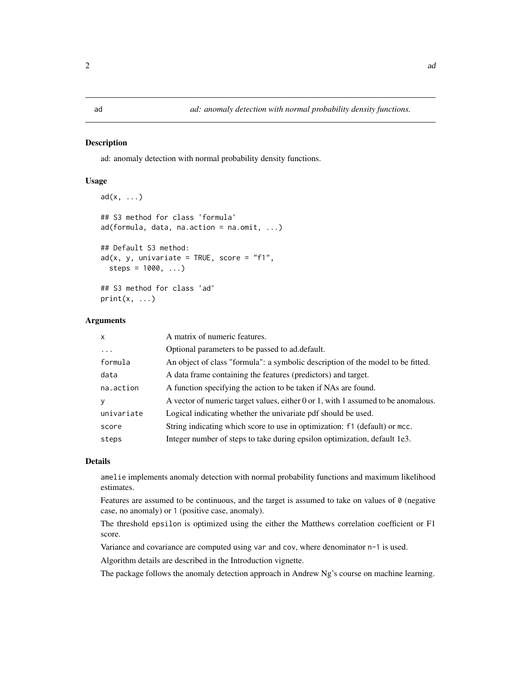#### <span id="page-1-1"></span><span id="page-1-0"></span>**Description**

ad: anomaly detection with normal probability density functions.

#### Usage

```
ad(x, \ldots)## S3 method for class 'formula'
ad(formula, data, na. action = na. omit, ...)## Default S3 method:
ad(x, y, univariate = TRUE, score = "f1",steps = 1000, ...)
## S3 method for class 'ad'
print(x, \ldots)
```
#### Arguments

| $\mathsf{x}$ | A matrix of numeric features.                                                     |
|--------------|-----------------------------------------------------------------------------------|
| $\ddots$     | Optional parameters to be passed to ad. default.                                  |
| formula      | An object of class "formula": a symbolic description of the model to be fitted.   |
| data         | A data frame containing the features (predictors) and target.                     |
| na.action    | A function specifying the action to be taken if NAs are found.                    |
| У            | A vector of numeric target values, either 0 or 1, with 1 assumed to be anomalous. |
| univariate   | Logical indicating whether the univariate pdf should be used.                     |
| score        | String indicating which score to use in optimization: f1 (default) or mcc.        |
| steps        | Integer number of steps to take during epsilon optimization, default 1e3.         |
|              |                                                                                   |

#### Details

amelie implements anomaly detection with normal probability functions and maximum likelihood estimates.

Features are assumed to be continuous, and the target is assumed to take on values of  $\theta$  (negative case, no anomaly) or 1 (positive case, anomaly).

The threshold epsilon is optimized using the either the Matthews correlation coefficient or F1 score.

Variance and covariance are computed using var and cov, where denominator n-1 is used.

Algorithm details are described in the Introduction vignette.

The package follows the anomaly detection approach in Andrew Ng's course on machine learning.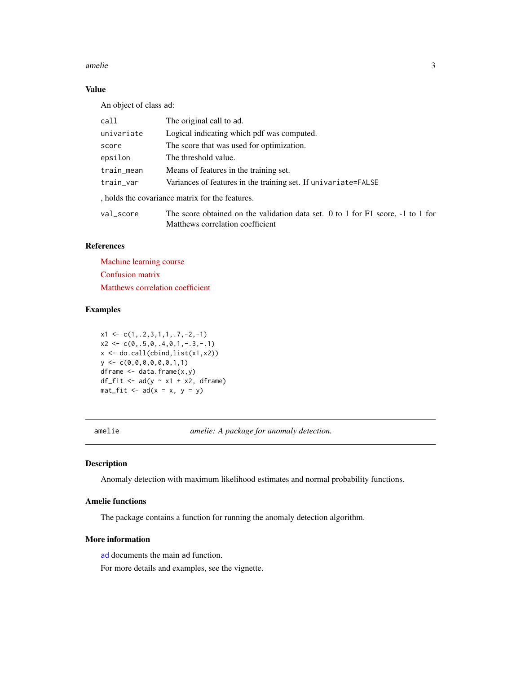#### <span id="page-2-0"></span>amelie 3

#### Value

An object of class ad:

| call       | The original call to ad.                                                            |  |  |  |  |  |  |
|------------|-------------------------------------------------------------------------------------|--|--|--|--|--|--|
| univariate | Logical indicating which pdf was computed.                                          |  |  |  |  |  |  |
| score      | The score that was used for optimization.                                           |  |  |  |  |  |  |
| epsilon    | The threshold value.                                                                |  |  |  |  |  |  |
| train_mean | Means of features in the training set.                                              |  |  |  |  |  |  |
| train_var  | Variances of features in the training set. If univariate=FALSE                      |  |  |  |  |  |  |
|            | holds the covariance matrix for the features.                                       |  |  |  |  |  |  |
| val score  | The score obtained on the validation data set. 0 to 1 for $F1$ score, $-1$ to 1 for |  |  |  |  |  |  |
|            | Matthews correlation coefficient                                                    |  |  |  |  |  |  |

#### References

[Machine learning course](https://www.coursera.org/learn/machine-learning) [Confusion matrix](https://en.wikipedia.org/wiki/Confusion_matrix) [Matthews correlation coefficient](https://en.wikipedia.org/wiki/Matthews_correlation_coefficient)

#### Examples

 $x1 \leftarrow c(1, .2, 3, 1, 1, .7, -2, -1)$  $x2 \leq -c(0, .5, 0, .4, 0, 1, -.3, -.1)$ x <- do.call(cbind,list(x1,x2))  $y \leftarrow c(0, 0, 0, 0, 0, 0, 1, 1)$ dframe  $\leq$  data.frame $(x,y)$ df\_fit <-  $ad(y \sim x1 + x2, df$ rame)  $mat\_fit \leq - ad(x = x, y = y)$ 

amelie *amelie: A package for anomaly detection.*

#### Description

Anomaly detection with maximum likelihood estimates and normal probability functions.

#### Amelie functions

The package contains a function for running the anomaly detection algorithm.

#### More information

[ad](#page-1-1) documents the main ad function.

For more details and examples, see the vignette.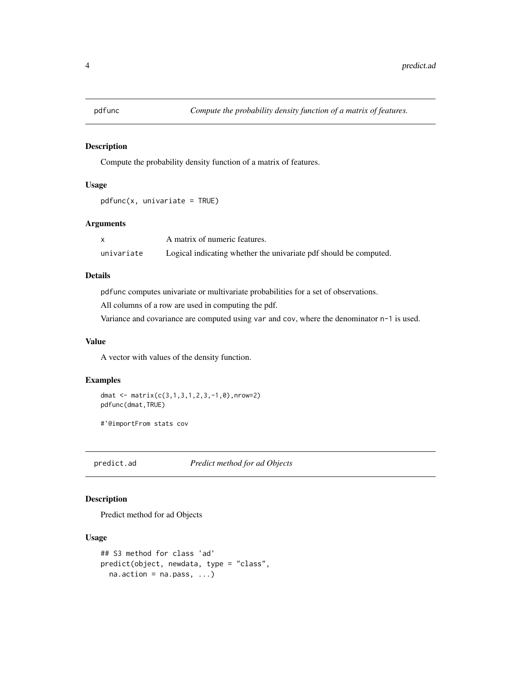<span id="page-3-0"></span>

#### Description

Compute the probability density function of a matrix of features.

#### Usage

```
pdfunc(x, univariate = TRUE)
```
#### Arguments

|            | A matrix of numeric features.                                     |
|------------|-------------------------------------------------------------------|
| univariate | Logical indicating whether the univariate pdf should be computed. |

#### Details

pdfunc computes univariate or multivariate probabilities for a set of observations.

All columns of a row are used in computing the pdf.

Variance and covariance are computed using var and cov, where the denominator n-1 is used.

#### Value

A vector with values of the density function.

#### Examples

dmat  $\leq$  matrix(c(3,1,3,1,2,3,-1,0),nrow=2) pdfunc(dmat,TRUE)

#'@importFrom stats cov

predict.ad *Predict method for ad Objects*

#### Description

Predict method for ad Objects

#### Usage

```
## S3 method for class 'ad'
predict(object, newdata, type = "class",
  na. action = na. pass, ...
```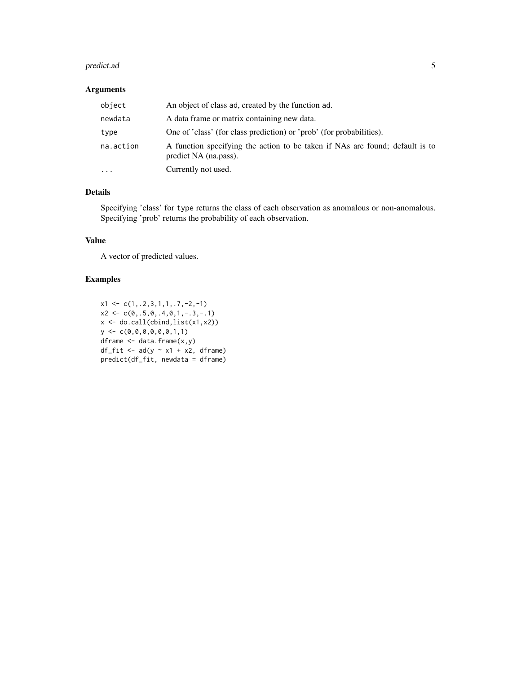#### predict.ad 5

#### Arguments

| object    | An object of class ad, created by the function ad.                                                    |
|-----------|-------------------------------------------------------------------------------------------------------|
| newdata   | A data frame or matrix containing new data.                                                           |
| type      | One of 'class' (for class prediction) or 'prob' (for probabilities).                                  |
| na.action | A function specifying the action to be taken if NAs are found; default is to<br>predict NA (na.pass). |
| $\ddotsc$ | Currently not used.                                                                                   |

#### Details

Specifying 'class' for type returns the class of each observation as anomalous or non-anomalous. Specifying 'prob' returns the probability of each observation.

#### Value

A vector of predicted values.

#### Examples

```
x1 \leftarrow c(1, .2, 3, 1, 1, .7, -2, -1)x2 \leq -c(0, .5, 0, .4, 0, 1, -.3, -.1)x <- do.call(cbind,list(x1,x2))
y \leftarrow c(0, 0, 0, 0, 0, 0, 1, 1)dframe <- data.frame(x,y)
df_fit <- ad(y \sim x1 + x2, dframe)
predict(df_fit, newdata = dframe)
```